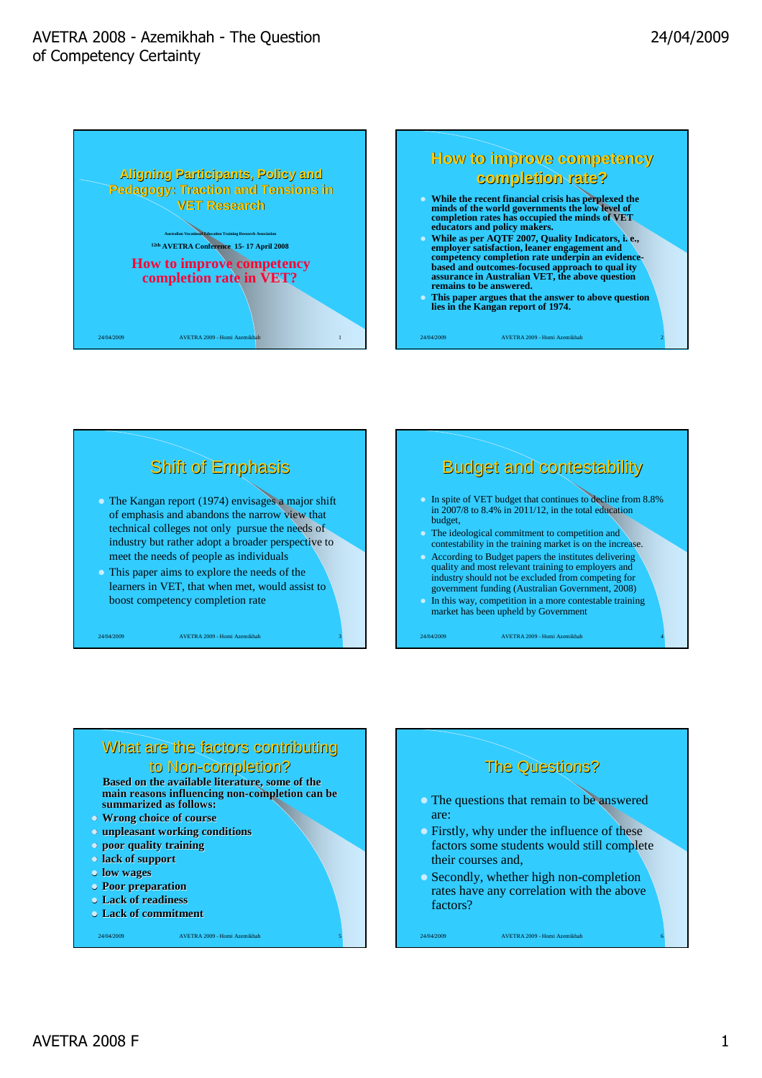







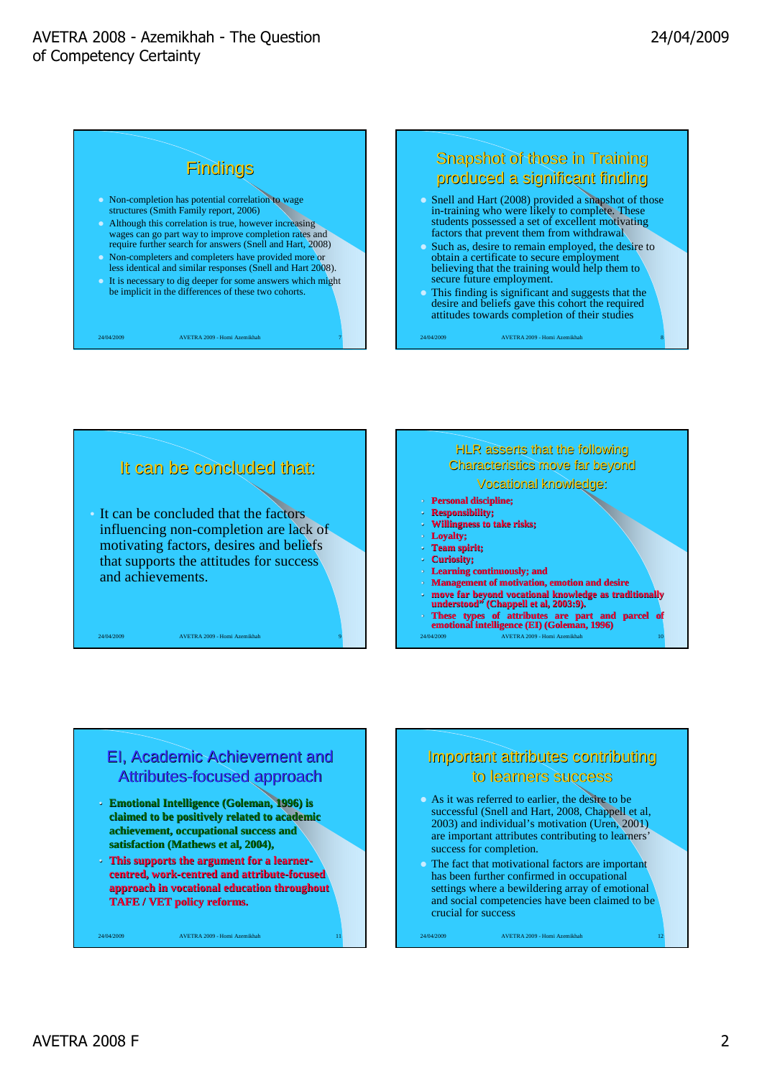### AVETRA 2008 - Azemikhah - The Question of Competency Certainty





## It can be concluded that: • It can be concluded that the factors influencing non-completion are lack of motivating factors, desires and beliefs that supports the attitudes for success and achievements.

24/04/2009 AVETRA 2009 - Homi Azemikhah 9

#### HLR asserts that the following Characteristics move far beyond Vocational knowledge:

- **Personal discipline;**
- **Responsibility;**
- **Willingness to take risks;**
- Loyalty;
- **Team spirit;**
- **Curiosity;**
- **Learning continuously; and**
- **Management of motivation, emotion and desire**
- **move far beyond vocational knowledge as traditionally understood" (Chappell et al, 2003:9).**
- 24/04/2009 AVETRA 2009 Homi Azemikhah 10 • **These types of attributes are part and parcel of emotional intelligence (EI) (Goleman, 1996)**

## EI, Academic Achievement and Attributes-focused approach

- **Emotional Intelligence (Goleman, 1996) is claimed to be positively related to academic achievement, occupational success and satisfaction (Mathews et al, 2004),**
- **This supports the argument for a learnercentred, work-centred and attribute-focused approach in vocational education throughout TAFE / VET policy reforms.**

24/04/2009 AVETRA 2009 - Homi Azemikhah

# Important attributes contributing to learners success

- As it was referred to earlier, the desire to be successful (Snell and Hart, 2008, Chappell et al, 2003) and individual's motivation (Uren, 2001) are important attributes contributing to learners' success for completion.
- The fact that motivational factors are important has been further confirmed in occupational settings where a bewildering array of emotional and social competencies have been claimed to be crucial for success

24/04/2009 AVETRA 2009 - Homi Azemikhah 12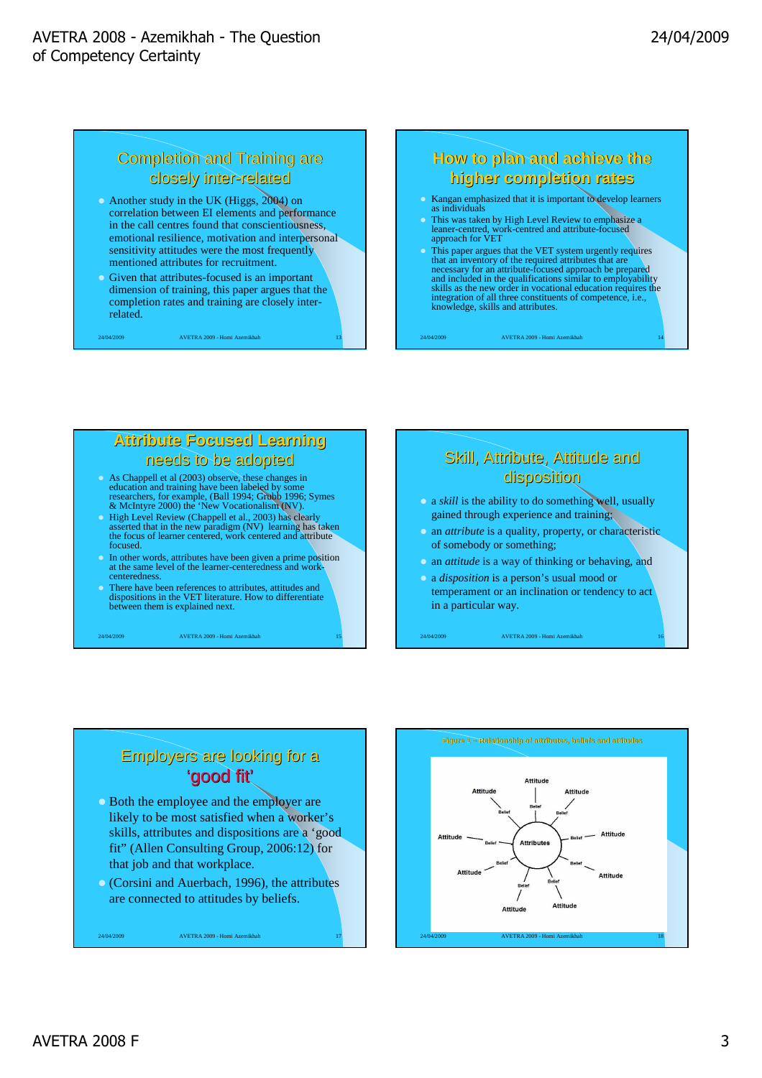# Completion and Training are closely inter-related

- Another study in the UK (Higgs, 2004) on correlation between EI elements and performance in the call centres found that conscientiousness, emotional resilience, motivation and interpersonal sensitivity attitudes were the most frequently mentioned attributes for recruitment.
- Given that attributes-focused is an important dimension of training, this paper argues that the completion rates and training are closely interrelated.

24/04/2009 AVETRA 2009 - Homi Azemikhah 13

# **How to plan and achieve the higher completion rates**

- Kangan emphasized that it is important to develop learners as individuals
- This was taken by High Level Review to emphasize a leaner-centred, work-centred and attribute-focused Fins was taken by<br>leaner-centred, wo<br>approach for VET
- This paper argues that the VET system urgently requires that an inventory of the required attributes that are necessary for an attribute-focused approach be prepared and included in the qualifications similar to employability skills as the new order in vocational education requires the integration of all three constituents of competence, i.e., knowledge, skills and attributes.

24/04/2009 AVETRA 2009 - Homi Azemikhah 14

## **Attribute Focused Learning** needs to be adopted

## As Chappell et al (2003) observe, these changes in

- education and training have been labeled by some researchers, for example, (Ball 1994; Grubb 1996; Symes & McIntyre 2000) the 'New Vocationalism (NV).
- High Level Review (Chappell et al., 2003) has clearly asserted that in the new paradigm (NV) learning has taken the focus of learner centered, work centered and attribute focused.
- In other words, attributes have been given a prime position at the same level of the learner-centeredness and workcenteredness.
- There have been references to attributes, attitudes and dispositions in the VET literature. How to differentiate between them is explained next.

24/04/2009 AVETRA 2009 - Homi Azemikhah 15

# Skill, Attribute, Attitude and disposition

- a *skill* is the ability to do something well, usually gained through experience and training;
- an *attribute* is a quality, property, or characteristic of somebody or something;
- an *attitude* is a way of thinking or behaving, and
- a *disposition* is a person's usual mood or temperament or an inclination or tendency to act in a particular way.

24/04/2009 AVETRA 2009 - Homi Azemikhah 16

# Employers are looking for a 'good fit'

- Both the employee and the employer are likely to be most satisfied when a worker's skills, attributes and dispositions are a 'good fit" (Allen Consulting Group, 2006:12) for that job and that workplace.
- (Corsini and Auerbach, 1996), the attributes are connected to attitudes by beliefs.

24/04/2009 AVETRA 2009 - Homi Azemikhah

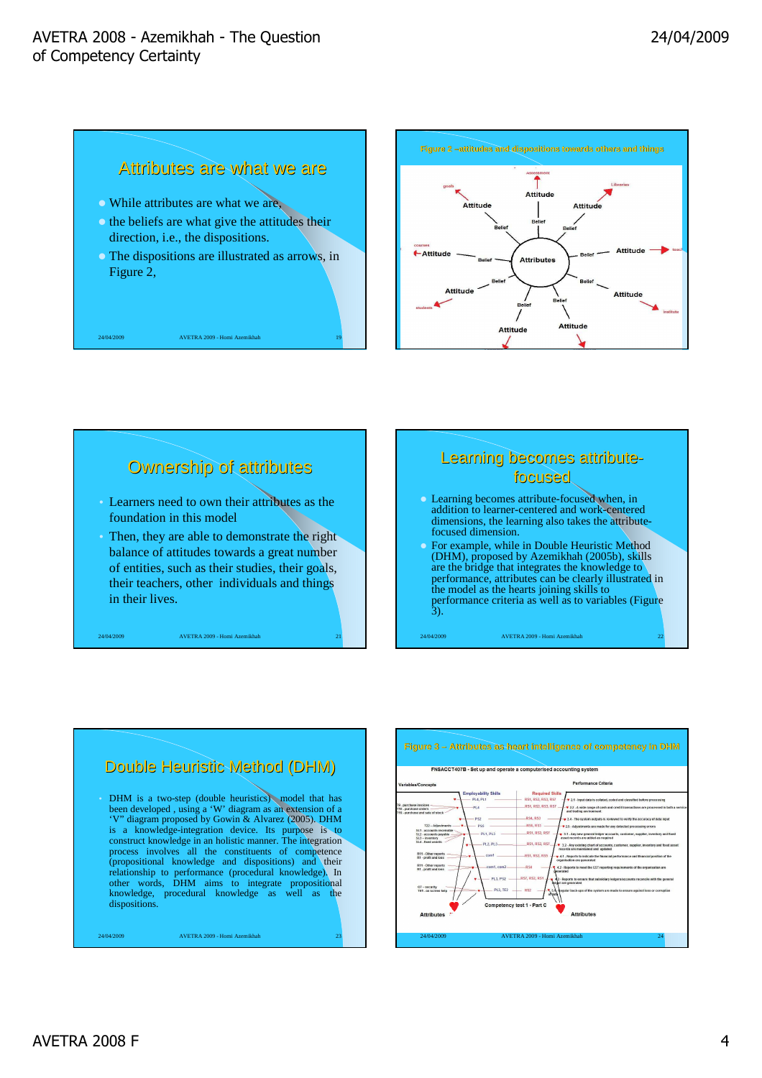24/04/2009 AVETRA 2009 - Homi Azemikhah 19





# 24/04/2009 AVETRA 2009 - Homi Azemikhah 21 Ownership of attributes • Learners need to own their attributes as the foundation in this model • Then, they are able to demonstrate the right balance of attitudes towards a great number of entities, such as their studies, their goals, their teachers, other individuals and things in their lives.

## Learning becomes attributefocused Learning becomes attribute-focused when, in addition to learner-centered and work-centered

- dimensions, the learning also takes the attributefocused dimension. For example, while in Double Heuristic Method (DHM), proposed by Azemikhah (2005b), skills
- are the bridge that integrates the knowledge to performance, attributes can be clearly illustrated in the model as the hearts joining skills to performance criteria as well as to variables (Figure 3).

24/04/2009 AVETRA 2009 - Homi Azemikhah 22

#### Double Heuristic Method (DHM) • DHM is a two-step (double heuristics) model that has been developed , using a 'W' diagram as an extension of a 'V" diagram proposed by Gowin & Alvarez (2005). DHM is a knowledge-integration device. Its purpose is to construct knowledge in an holistic manner. The integration process involves all the constituents of competence (propositional knowledge and dispositions) and their relationship to performance (procedural knowledge). In other words, DHM aims to integrate propositional knowledge, procedural knowledge as well as the dispositions.

24/04/2009 AVETRA 2009 - Homi Azemikhah 23



#### **Figure 3 – Attributes as heart intelligence of competency in DHM**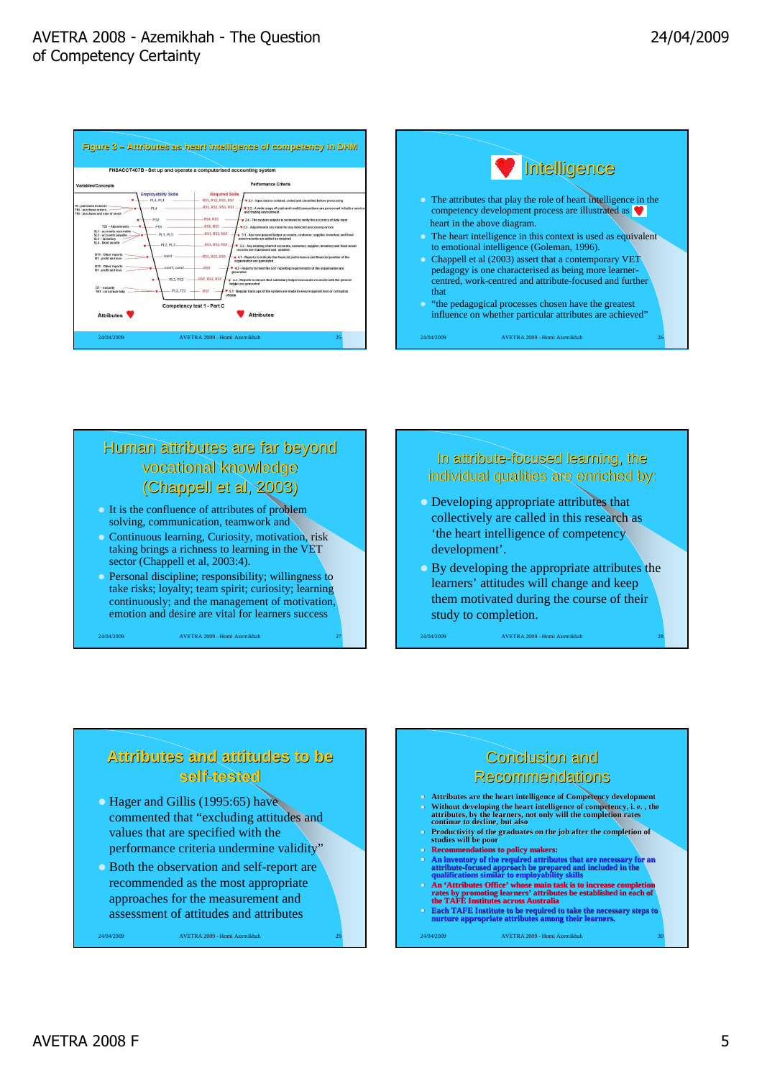





## Human attributes are far beyond vocational knowledge (Chappell et al, 2003)

- It is the confluence of attributes of problem solving, communication, teamwork and
- Continuous learning, Curiosity, motivation, risk taking brings a richness to learning in the VET sector (Chappell et al, 2003:4).
- Personal discipline; responsibility; willingness to take risks; loyalty; team spirit; curiosity; learning continuously; and the management of motivation, emotion and desire are vital for learners success

24/04/2009 AVETRA 2009 - Homi Azemikhah 27

### In attribute-focused learning, the individual qualities are enriched by:

- Developing appropriate attributes that collectively are called in this research as 'the heart intelligence of competency development'.
- By developing the appropriate attributes the learners' attitudes will change and keep them motivated during the course of their study to completion.

24/04/2009 AVETRA 2009 - Homi Azemikhah 28

## **Attributes and attitudes to be self-tested**

- Hager and Gillis (1995:65) have commented that "excluding attitudes and values that are specified with the performance criteria undermine validity"
- Both the observation and self-report are recommended as the most appropriate approaches for the measurement and assessment of attitudes and attributes

24/04/2009 AVETRA 2009 - Homi Azemikhah 29

## Conclusion and **Recommendations**

- **Attributes are the heart intelligence of Competency development Without developing the heart intelligence of competency, i. e. , the attributes, by the learners, not only will the completion rates continue to decline, but also**
- **Productivity of the graduates on the job after the completion of studies will be poor**
- **Recommendations to policy makers:**
- **An inventory of the required attributes that are necessary for an attribute-focused approach be prepared and included in the qualifications similar to employability skills An 'Attributes Office' whose main task is to increase completion**
- **rates by promoting learners' attributes be established in each of the TAFE Institutes across Australia**
- **Each TAFE Institute to be required to take the necessary steps to nurture appropriate attributes among their learners.**

24/04/2009 **AVETRA 2009 - Homi Azemikhah**